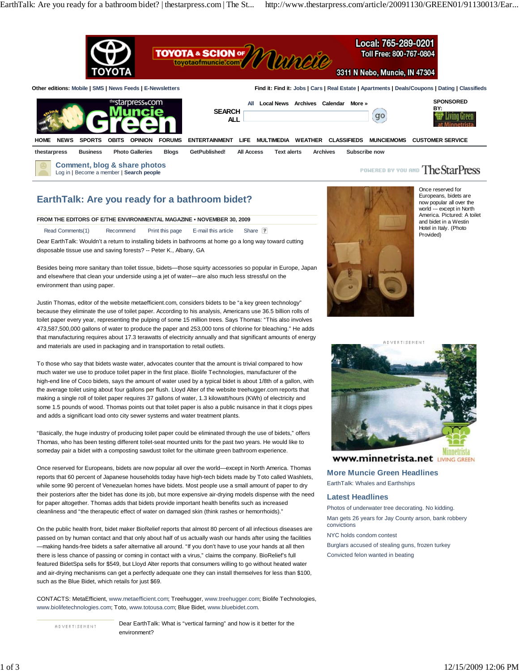

# **EarthTalk: Are you ready for a bathroom bidet?**

#### **FROM THE EDITORS OF E/THE ENVIRONMENTAL MAGAZINE • NOVEMBER 30, 2009**

Read Comments(1) Recommend Print this page E-mail this article Share

Dear EarthTalk: Wouldn't a return to installing bidets in bathrooms at home go a long way toward cutting disposable tissue use and saving forests? -- Peter K., Albany, GA

Besides being more sanitary than toilet tissue, bidets—those squirty accessories so popular in Europe, Japan and elsewhere that clean your underside using a jet of water—are also much less stressful on the environment than using paper.

Justin Thomas, editor of the website metaefficient.com, considers bidets to be "a key green technology" because they eliminate the use of toilet paper. According to his analysis, Americans use 36.5 billion rolls of toilet paper every year, representing the pulping of some 15 million trees. Says Thomas: "This also involves 473,587,500,000 gallons of water to produce the paper and 253,000 tons of chlorine for bleaching." He adds that manufacturing requires about 17.3 terawatts of electricity annually and that significant amounts of energy and materials are used in packaging and in transportation to retail outlets.

To those who say that bidets waste water, advocates counter that the amount is trivial compared to how much water we use to produce toilet paper in the first place. Biolife Technologies, manufacturer of the high-end line of Coco bidets, says the amount of water used by a typical bidet is about 1/8th of a gallon, with the average toilet using about four gallons per flush. Lloyd Alter of the website treehugger.com reports that making a single roll of toilet paper requires 37 gallons of water, 1.3 kilowatt/hours (KWh) of electricity and some 1.5 pounds of wood. Thomas points out that toilet paper is also a public nuisance in that it clogs pipes and adds a significant load onto city sewer systems and water treatment plants.

"Basically, the huge industry of producing toilet paper could be eliminated through the use of bidets," offers Thomas, who has been testing different toilet-seat mounted units for the past two years. He would like to someday pair a bidet with a composting sawdust toilet for the ultimate green bathroom experience.

Once reserved for Europeans, bidets are now popular all over the world—except in North America. Thomas reports that 60 percent of Japanese households today have high-tech bidets made by Toto called Washlets, while some 90 percent of Venezuelan homes have bidets. Most people use a small amount of paper to dry their posteriors after the bidet has done its job, but more expensive air-drying models dispense with the need for paper altogether. Thomas adds that bidets provide important health benefits such as increased cleanliness and "the therapeutic effect of water on damaged skin (think rashes or hemorrhoids)."

On the public health front, bidet maker BioRelief reports that almost 80 percent of all infectious diseases are passed on by human contact and that only about half of us actually wash our hands after using the facilities —making hands-free bidets a safer alternative all around. "If you don't have to use your hands at all then there is less chance of passing or coming in contact with a virus," claims the company. BioRelief's full featured BidetSpa sells for \$549, but Lloyd Alter reports that consumers willing to go without heated water and air-drying mechanisms can get a perfectly adequate one they can install themselves for less than \$100, such as the Blue Bidet, which retails for just \$69.

CONTACTS: MetaEfficient, www.metaefficient.com; Treehugger, www.treehugger.com; Biolife Technologies, www.biolifetechnologies.com; Toto, www.totousa.com; Blue Bidet, www.bluebidet.com.

ADVERTISEMENT

Dear EarthTalk: What is "vertical farming" and how is it better for the environment?



Once reserved for Europeans, bidets are now popular all over the world -– except in North America. Pictured: A toilet and bidet in a Westin Hotel in Italy. (Photo Provided)



**WWW.minnetrista.net LIVING GREEN** 

**More Muncie Green Headlines**

EarthTalk: Whales and Earthships

### **Latest Headlines**

Photos of underwater tree decorating. No kidding. Man gets 26 years for Jay County arson, bank robbery convictions

#### NYC holds condom contest

Burglars accused of stealing guns, frozen turkey Convicted felon wanted in beating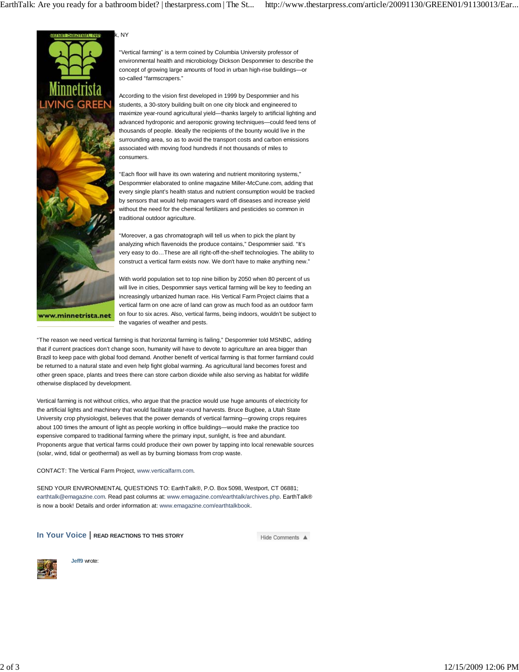

"Vertical farming" is a term coined by Columbia University professor of environmental health and microbiology Dickson Despommier to describe the concept of growing large amounts of food in urban high-rise buildings—or so-called "farmscrapers."

According to the vision first developed in 1999 by Despommier and his students, a 30-story building built on one city block and engineered to maximize year-round agricultural yield—thanks largely to artificial lighting and advanced hydroponic and aeroponic growing techniques—could feed tens of thousands of people. Ideally the recipients of the bounty would live in the surrounding area, so as to avoid the transport costs and carbon emissions associated with moving food hundreds if not thousands of miles to consumers.

"Each floor will have its own watering and nutrient monitoring systems," Despommier elaborated to online magazine Miller-McCune.com, adding that every single plant's health status and nutrient consumption would be tracked by sensors that would help managers ward off diseases and increase yield without the need for the chemical fertilizers and pesticides so common in traditional outdoor agriculture.

"Moreover, a gas chromatograph will tell us when to pick the plant by analyzing which flavenoids the produce contains," Despommier said. "It's very easy to do…These are all right-off-the-shelf technologies. The ability to construct a vertical farm exists now. We don't have to make anything new."

With world population set to top nine billion by 2050 when 80 percent of us will live in cities. Despommier says vertical farming will be key to feeding an increasingly urbanized human race. His Vertical Farm Project claims that a vertical farm on one acre of land can grow as much food as an outdoor farm on four to six acres. Also, vertical farms, being indoors, wouldn't be subject to the vagaries of weather and pests.

"The reason we need vertical farming is that horizontal farming is failing," Despommier told MSNBC, adding that if current practices don't change soon, humanity will have to devote to agriculture an area bigger than Brazil to keep pace with global food demand. Another benefit of vertical farming is that former farmland could be returned to a natural state and even help fight global warming. As agricultural land becomes forest and other green space, plants and trees there can store carbon dioxide while also serving as habitat for wildlife otherwise displaced by development.

Vertical farming is not without critics, who argue that the practice would use huge amounts of electricity for the artificial lights and machinery that would facilitate year-round harvests. Bruce Bugbee, a Utah State University crop physiologist, believes that the power demands of vertical farming—growing crops requires about 100 times the amount of light as people working in office buildings—would make the practice too expensive compared to traditional farming where the primary input, sunlight, is free and abundant. Proponents argue that vertical farms could produce their own power by tapping into local renewable sources (solar, wind, tidal or geothermal) as well as by burning biomass from crop waste.

## CONTACT: The Vertical Farm Project, www.verticalfarm.com.

SEND YOUR ENVIRONMENTAL QUESTIONS TO: EarthTalk®, P.O. Box 5098, Westport, CT 06881; earthtalk@emagazine.com. Read past columns at: www.emagazine.com/earthtalk/archives.php. EarthTalk® is now a book! Details and order information at: www.emagazine.com/earthtalkbook.

**In Your Voice** | **READ REACTIONS TO THIS STORY**

Hide Comments A



**Jeff9** wrote: